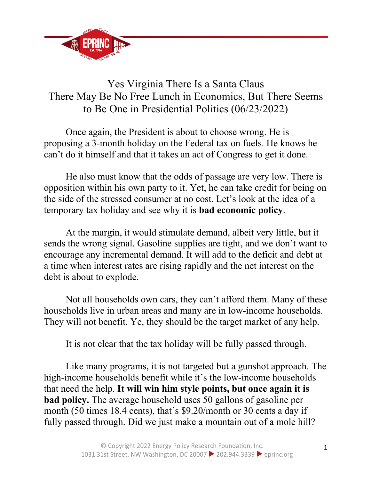

## Yes Virginia There Is a Santa Claus There May Be No Free Lunch in Economics, But There Seems to Be One in Presidential Politics (06/23/2022)

Once again, the President is about to choose wrong. He is proposing a 3-month holiday on the Federal tax on fuels. He knows he can't do it himself and that it takes an act of Congress to get it done.

He also must know that the odds of passage are very low. There is opposition within his own party to it. Yet, he can take credit for being on the side of the stressed consumer at no cost. Let's look at the idea of a temporary tax holiday and see why it is **bad economic policy**.

At the margin, it would stimulate demand, albeit very little, but it sends the wrong signal. Gasoline supplies are tight, and we don't want to encourage any incremental demand. It will add to the deficit and debt at a time when interest rates are rising rapidly and the net interest on the debt is about to explode.

Not all households own cars, they can't afford them. Many of these households live in urban areas and many are in low-income households. They will not benefit. Ye, they should be the target market of any help.

It is not clear that the tax holiday will be fully passed through.

Like many programs, it is not targeted but a gunshot approach. The high-income households benefit while it's the low-income households that need the help. **It will win him style points, but once again it is bad policy.** The average household uses 50 gallons of gasoline per month (50 times 18.4 cents), that's \$9.20/month or 30 cents a day if fully passed through. Did we just make a mountain out of a mole hill?